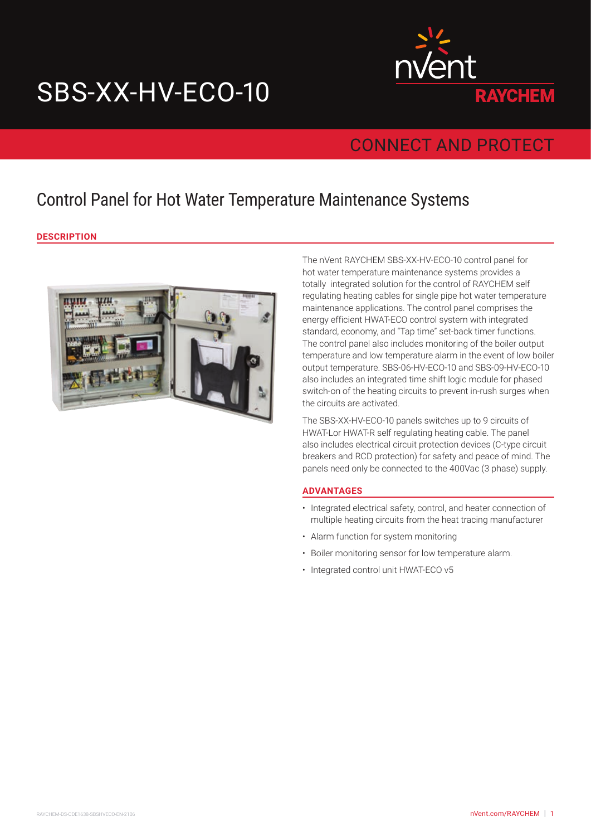# SBS-XX-HV-ECO-10



## CONNECT AND PROTECT

## Control Panel for Hot Water Temperature Maintenance Systems

**DESCRIPTION**



The nVent RAYCHEM SBS-XX-HV-ECO-10 control panel for hot water temperature maintenance systems provides a totally integrated solution for the control of RAYCHEM self regulating heating cables for single pipe hot water temperature maintenance applications. The control panel comprises the energy efficient HWAT-ECO control system with integrated standard, economy, and "Tap time" set-back timer functions. The control panel also includes monitoring of the boiler output temperature and low temperature alarm in the event of low boiler output temperature. SBS-06-HV-ECO-10 and SBS-09-HV-ECO-10 also includes an integrated time shift logic module for phased switch-on of the heating circuits to prevent in-rush surges when the circuits are activated.

The SBS-XX-HV-ECO-10 panels switches up to 9 circuits of HWAT-Lor HWAT-R self regulating heating cable. The panel also includes electrical circuit protection devices (C-type circuit breakers and RCD protection) for safety and peace of mind. The panels need only be connected to the 400Vac (3 phase) supply.

#### **ADVANTAGES**

- Integrated electrical safety, control, and heater connection of multiple heating circuits from the heat tracing manufacturer
- Alarm function for system monitoring
- Boiler monitoring sensor for low temperature alarm.
- Integrated control unit HWAT-ECO v5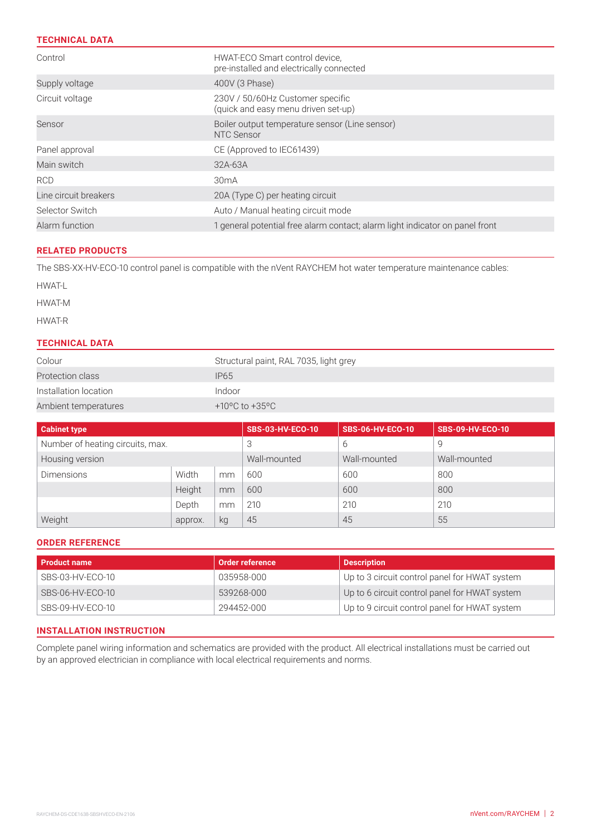#### **TECHNICAL DATA**

| Control               | HWAT-ECO Smart control device.<br>pre-installed and electrically connected   |  |  |  |
|-----------------------|------------------------------------------------------------------------------|--|--|--|
| Supply voltage        | 400V (3 Phase)                                                               |  |  |  |
| Circuit voltage       | 230V / 50/60Hz Customer specific<br>(quick and easy menu driven set-up)      |  |  |  |
| Sensor                | Boiler output temperature sensor (Line sensor)<br>NTC Sensor                 |  |  |  |
| Panel approval        | CE (Approved to IEC61439)                                                    |  |  |  |
| Main switch           | 32A-63A                                                                      |  |  |  |
| <b>RCD</b>            | 30mA                                                                         |  |  |  |
| Line circuit breakers | 20A (Type C) per heating circuit                                             |  |  |  |
| Selector Switch       | Auto / Manual heating circuit mode                                           |  |  |  |
| Alarm function        | 1 general potential free alarm contact; alarm light indicator on panel front |  |  |  |

#### **RELATED PRODUCTS**

The SBS-XX-HV-ECO-10 control panel is compatible with the nVent RAYCHEM hot water temperature maintenance cables:

HWAT-L

HWAT-M

HWAT-R

#### **TECHNICAL DATA**

| Colour                | Structural paint, RAL 7035, light grey |  |  |
|-----------------------|----------------------------------------|--|--|
| Protection class      | <b>IP65</b>                            |  |  |
| Installation location | Indoor                                 |  |  |
| Ambient temperatures  | +10°C to +35°C                         |  |  |

| <b>Cabinet type</b>              |         |              | <b>SBS-03-HV-ECO-10</b> | <b>SBS-06-HV-ECO-10</b> | <b>SBS-09-HV-ECO-10</b> |
|----------------------------------|---------|--------------|-------------------------|-------------------------|-------------------------|
| Number of heating circuits, max. |         | 3            | 6                       | 9                       |                         |
| Housing version                  |         | Wall-mounted | Wall-mounted            | Wall-mounted            |                         |
| <b>Dimensions</b>                | Width   | mm           | 600                     | 600                     | 800                     |
|                                  | Height  | mm           | 600                     | 600                     | 800                     |
|                                  | Depth   | mm           | 210                     | 210                     | 210                     |
| Weight                           | approx. | kg           | 45                      | 45                      | 55                      |

#### **ORDER REFERENCE**

| <b>Product name</b> | Order reference | <b>Description</b>                            |
|---------------------|-----------------|-----------------------------------------------|
| SBS-03-HV-ECO-10    | 035958-000      | Up to 3 circuit control panel for HWAT system |
| SBS-06-HV-ECO-10    | 539268-000      | Up to 6 circuit control panel for HWAT system |
| SBS-09-HV-ECO-10    | 294452-000      | Up to 9 circuit control panel for HWAT system |

#### **INSTALLATION INSTRUCTION**

Complete panel wiring information and schematics are provided with the product. All electrical installations must be carried out by an approved electrician in compliance with local electrical requirements and norms.